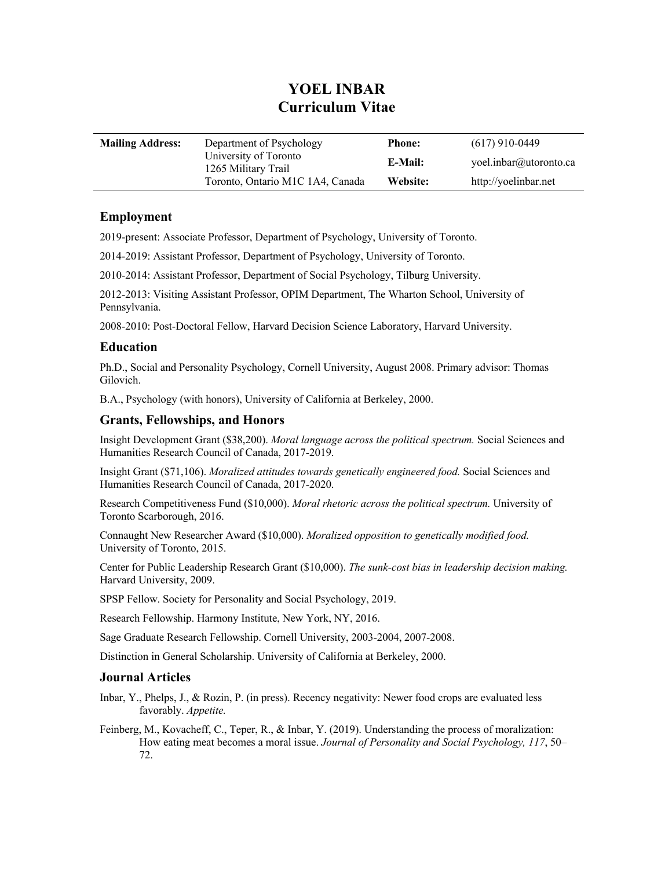# **YOEL INBAR Curriculum Vitae**

| <b>Mailing Address:</b> | Department of Psychology                     | <b>Phone:</b> | $(617)$ 910-0449       |
|-------------------------|----------------------------------------------|---------------|------------------------|
|                         | University of Toronto<br>1265 Military Trail | E-Mail:       | yoel.inbar@utoronto.ca |
|                         | Toronto, Ontario M1C 1A4, Canada             | Website:      | http://yoelinbar.net   |

## **Employment**

2019-present: Associate Professor, Department of Psychology, University of Toronto.

2014-2019: Assistant Professor, Department of Psychology, University of Toronto.

2010-2014: Assistant Professor, Department of Social Psychology, Tilburg University.

2012-2013: Visiting Assistant Professor, OPIM Department, The Wharton School, University of Pennsylvania.

2008-2010: Post-Doctoral Fellow, Harvard Decision Science Laboratory, Harvard University.

# **Education**

Ph.D., Social and Personality Psychology, Cornell University, August 2008. Primary advisor: Thomas Gilovich.

B.A., Psychology (with honors), University of California at Berkeley, 2000.

## **Grants, Fellowships, and Honors**

Insight Development Grant (\$38,200). *Moral language across the political spectrum.* Social Sciences and Humanities Research Council of Canada, 2017-2019.

Insight Grant (\$71,106). *Moralized attitudes towards genetically engineered food.* Social Sciences and Humanities Research Council of Canada, 2017-2020.

Research Competitiveness Fund (\$10,000). *Moral rhetoric across the political spectrum.* University of Toronto Scarborough, 2016.

Connaught New Researcher Award (\$10,000). *Moralized opposition to genetically modified food.* University of Toronto, 2015.

Center for Public Leadership Research Grant (\$10,000). *The sunk-cost bias in leadership decision making.* Harvard University, 2009.

SPSP Fellow. Society for Personality and Social Psychology, 2019.

Research Fellowship. Harmony Institute, New York, NY, 2016.

Sage Graduate Research Fellowship. Cornell University, 2003-2004, 2007-2008.

Distinction in General Scholarship. University of California at Berkeley, 2000.

### **Journal Articles**

Inbar, Y., Phelps, J., & Rozin, P. (in press). Recency negativity: Newer food crops are evaluated less favorably. *Appetite.*

Feinberg, M., Kovacheff, C., Teper, R., & Inbar, Y. (2019). Understanding the process of moralization: How eating meat becomes a moral issue. *Journal of Personality and Social Psychology, 117*, 50– 72.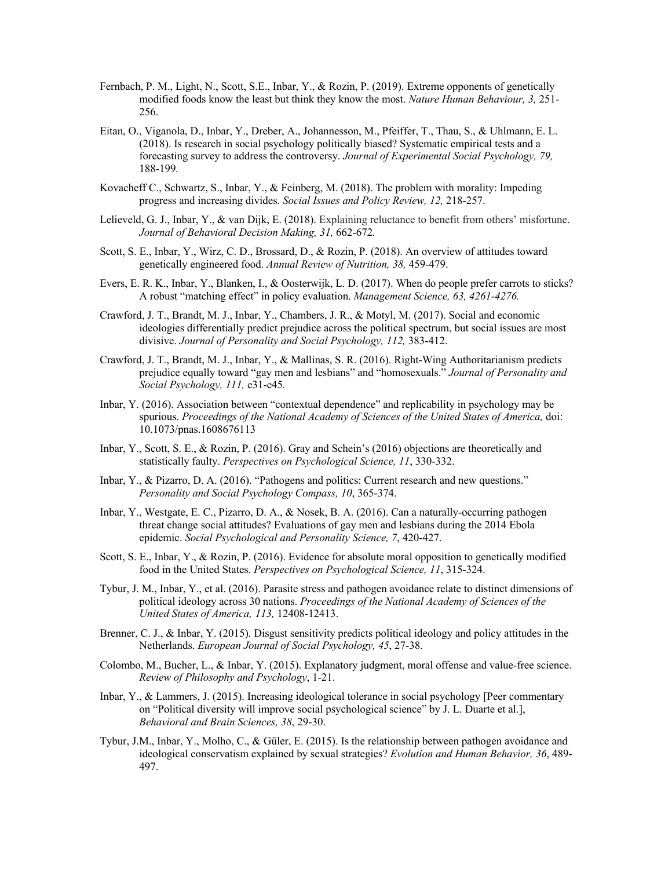- Fernbach, P. M., Light, N., Scott, S.E., Inbar, Y., & Rozin, P. (2019). Extreme opponents of genetically modified foods know the least but think they know the most. *Nature Human Behaviour, 3,* 251- 256.
- Eitan, O., Viganola, D., Inbar, Y., Dreber, A., Johannesson, M., Pfeiffer, T., Thau, S., & Uhlmann, E. L. (2018). Is research in social psychology politically biased? Systematic empirical tests and a forecasting survey to address the controversy. *Journal of Experimental Social Psychology, 79,*  188-199*.*
- Kovacheff C., Schwartz, S., Inbar, Y., & Feinberg, M. (2018). The problem with morality: Impeding progress and increasing divides. *Social Issues and Policy Review, 12,* 218-257.
- Lelieveld, G. J., Inbar, Y., & van Dijk, E. (2018). Explaining reluctance to benefit from others' misfortune. *Journal of Behavioral Decision Making, 31,* 662-672*.*
- Scott, S. E., Inbar, Y., Wirz, C. D., Brossard, D., & Rozin, P. (2018). An overview of attitudes toward genetically engineered food. *Annual Review of Nutrition, 38,* 459-479.
- Evers, E. R. K., Inbar, Y., Blanken, I., & Oosterwijk, L. D. (2017). When do people prefer carrots to sticks? A robust "matching effect" in policy evaluation. *Management Science, 63, 4261-4276.*
- Crawford, J. T., Brandt, M. J., Inbar, Y., Chambers, J. R., & Motyl, M. (2017). Social and economic ideologies differentially predict prejudice across the political spectrum, but social issues are most divisive. *Journal of Personality and Social Psychology, 112,* 383-412.
- Crawford, J. T., Brandt, M. J., Inbar, Y., & Mallinas, S. R. (2016). Right-Wing Authoritarianism predicts prejudice equally toward "gay men and lesbians" and "homosexuals." *Journal of Personality and Social Psychology, 111,* e31-e45*.*
- Inbar, Y. (2016). Association between "contextual dependence" and replicability in psychology may be spurious. *Proceedings of the National Academy of Sciences of the United States of America,* doi: 10.1073/pnas.1608676113
- Inbar, Y., Scott, S. E., & Rozin, P. (2016). Gray and Schein's (2016) objections are theoretically and statistically faulty. *Perspectives on Psychological Science, 11*, 330-332.
- Inbar, Y., & Pizarro, D. A. (2016). "Pathogens and politics: Current research and new questions." *Personality and Social Psychology Compass, 10*, 365-374.
- Inbar, Y., Westgate, E. C., Pizarro, D. A., & Nosek, B. A. (2016). Can a naturally-occurring pathogen threat change social attitudes? Evaluations of gay men and lesbians during the 2014 Ebola epidemic. *Social Psychological and Personality Science, 7*, 420-427.
- Scott, S. E., Inbar, Y., & Rozin, P. (2016). Evidence for absolute moral opposition to genetically modified food in the United States. *Perspectives on Psychological Science, 11*, 315-324.
- Tybur, J. M., Inbar, Y., et al. (2016). Parasite stress and pathogen avoidance relate to distinct dimensions of political ideology across 30 nations. *Proceedings of the National Academy of Sciences of the United States of America, 113,* 12408-12413.
- Brenner, C. J., & Inbar, Y. (2015). Disgust sensitivity predicts political ideology and policy attitudes in the Netherlands. *European Journal of Social Psychology, 45*, 27-38.
- Colombo, M., Bucher, L., & Inbar, Y. (2015). Explanatory judgment, moral offense and value-free science. *Review of Philosophy and Psychology*, 1-21.
- Inbar, Y., & Lammers, J. (2015). Increasing ideological tolerance in social psychology [Peer commentary on "Political diversity will improve social psychological science" by J. L. Duarte et al.], *Behavioral and Brain Sciences, 38*, 29-30.
- Tybur, J.M., Inbar, Y., Molho, C., & Güler, E. (2015). Is the relationship between pathogen avoidance and ideological conservatism explained by sexual strategies? *Evolution and Human Behavior, 36*, 489- 497.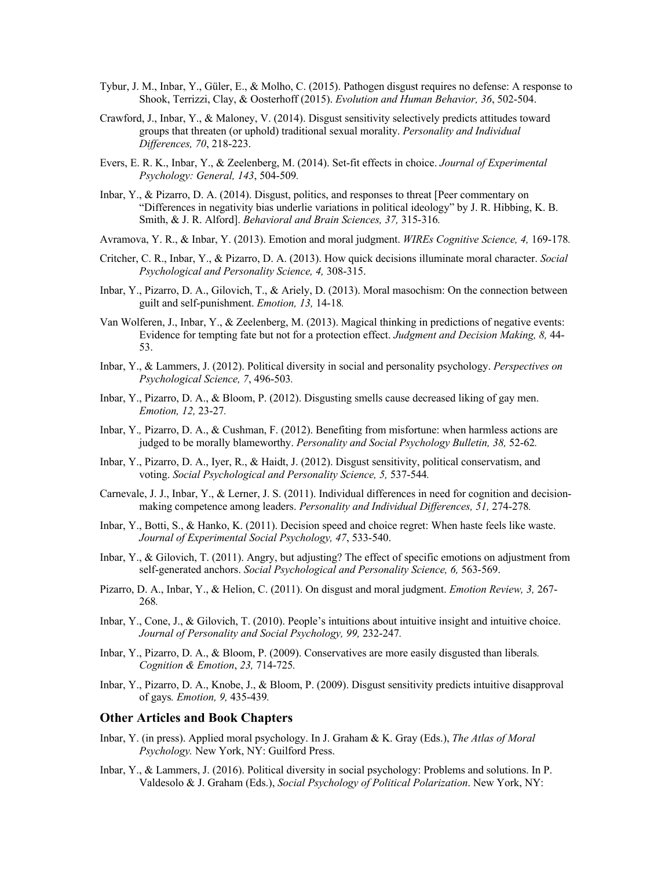- Tybur, J. M., Inbar, Y., Güler, E., & Molho, C. (2015). Pathogen disgust requires no defense: A response to Shook, Terrizzi, Clay, & Oosterhoff (2015). *Evolution and Human Behavior, 36*, 502-504.
- Crawford, J., Inbar, Y., & Maloney, V. (2014). Disgust sensitivity selectively predicts attitudes toward groups that threaten (or uphold) traditional sexual morality. *Personality and Individual Differences, 70*, 218-223.
- Evers, E. R. K., Inbar, Y., & Zeelenberg, M. (2014). Set-fit effects in choice. *Journal of Experimental Psychology: General, 143*, 504-509*.*
- Inbar, Y., & Pizarro, D. A. (2014). Disgust, politics, and responses to threat [Peer commentary on "Differences in negativity bias underlie variations in political ideology" by J. R. Hibbing, K. B. Smith, & J. R. Alford]. *Behavioral and Brain Sciences, 37,* 315-316*.*
- Avramova, Y. R., & Inbar, Y. (2013). Emotion and moral judgment. *WIREs Cognitive Science, 4,* 169-178*.*
- Critcher, C. R., Inbar, Y., & Pizarro, D. A. (2013). How quick decisions illuminate moral character. *Social Psychological and Personality Science, 4,* 308-315.
- Inbar, Y., Pizarro, D. A., Gilovich, T., & Ariely, D. (2013). Moral masochism: On the connection between guilt and self-punishment. *Emotion, 13,* 14-18*.*
- Van Wolferen, J., Inbar, Y., & Zeelenberg, M. (2013). Magical thinking in predictions of negative events: Evidence for tempting fate but not for a protection effect. *Judgment and Decision Making, 8,* 44- 53.
- Inbar, Y., & Lammers, J. (2012). Political diversity in social and personality psychology. *Perspectives on Psychological Science, 7*, 496-503*.*
- Inbar, Y., Pizarro, D. A., & Bloom, P. (2012). Disgusting smells cause decreased liking of gay men. *Emotion, 12,* 23-27*.*
- Inbar, Y.*,* Pizarro, D. A., & Cushman, F. (2012). Benefiting from misfortune: when harmless actions are judged to be morally blameworthy. *Personality and Social Psychology Bulletin, 38,* 52-62*.*
- Inbar, Y., Pizarro, D. A., Iyer, R., & Haidt, J. (2012). Disgust sensitivity, political conservatism, and voting. *Social Psychological and Personality Science, 5,* 537-544*.*
- Carnevale, J. J., Inbar, Y., & Lerner, J. S. (2011). Individual differences in need for cognition and decisionmaking competence among leaders. *Personality and Individual Differences, 51,* 274-278*.*
- Inbar, Y., Botti, S., & Hanko, K. (2011). Decision speed and choice regret: When haste feels like waste. *Journal of Experimental Social Psychology, 47*, 533-540.
- Inbar, Y., & Gilovich, T. (2011). Angry, but adjusting? The effect of specific emotions on adjustment from self-generated anchors. *Social Psychological and Personality Science, 6,* 563-569.
- Pizarro, D. A., Inbar, Y., & Helion, C. (2011). On disgust and moral judgment. *Emotion Review, 3,* 267- 268*.*
- Inbar, Y., Cone, J., & Gilovich, T. (2010). People's intuitions about intuitive insight and intuitive choice. *Journal of Personality and Social Psychology, 99,* 232-247*.*
- Inbar, Y., Pizarro, D. A., & Bloom, P. (2009). Conservatives are more easily disgusted than liberals*. Cognition & Emotion*, *23,* 714-725*.*
- Inbar, Y., Pizarro, D. A., Knobe, J., & Bloom, P. (2009). Disgust sensitivity predicts intuitive disapproval of gays*. Emotion, 9,* 435-439*.*

#### **Other Articles and Book Chapters**

- Inbar, Y. (in press). Applied moral psychology. In J. Graham & K. Gray (Eds.), *The Atlas of Moral Psychology.* New York, NY: Guilford Press.
- Inbar, Y., & Lammers, J. (2016). Political diversity in social psychology: Problems and solutions. In P. Valdesolo & J. Graham (Eds.), *Social Psychology of Political Polarization*. New York, NY: